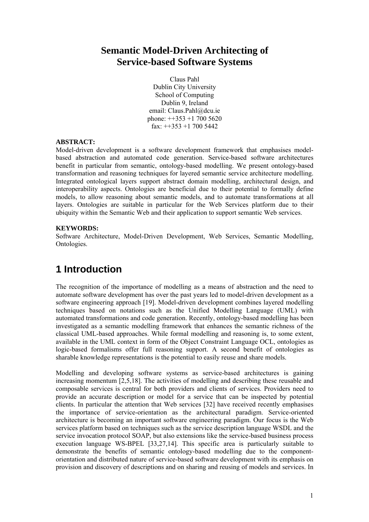### **Semantic Model-Driven Architecting of Service-based Software Systems**

Claus Pahl Dublin City University School of Computing Dublin 9, Ireland email: Claus.Pahl@dcu.ie phone: ++353 +1 700 5620 fax:  $++353 +17005442$ 

#### **ABSTRACT:**

Model-driven development is a software development framework that emphasises modelbased abstraction and automated code generation. Service-based software architectures benefit in particular from semantic, ontology-based modelling. We present ontology-based transformation and reasoning techniques for layered semantic service architecture modelling. Integrated ontological layers support abstract domain modelling, architectural design, and interoperability aspects. Ontologies are beneficial due to their potential to formally define models, to allow reasoning about semantic models, and to automate transformations at all layers. Ontologies are suitable in particular for the Web Services platform due to their ubiquity within the Semantic Web and their application to support semantic Web services.

#### **KEYWORDS:**

Software Architecture, Model-Driven Development, Web Services, Semantic Modelling, Ontologies.

## **1 Introduction**

The recognition of the importance of modelling as a means of abstraction and the need to automate software development has over the past years led to model-driven development as a software engineering approach [19]. Model-driven development combines layered modelling techniques based on notations such as the Unified Modelling Language (UML) with automated transformations and code generation. Recently, ontology-based modelling has been investigated as a semantic modelling framework that enhances the semantic richness of the classical UML-based approaches. While formal modelling and reasoning is, to some extent, available in the UML context in form of the Object Constraint Language OCL, ontologies as logic-based formalisms offer full reasoning support. A second benefit of ontologies as sharable knowledge representations is the potential to easily reuse and share models.

Modelling and developing software systems as service-based architectures is gaining increasing momentum [2,5,18]. The activities of modelling and describing these reusable and composable services is central for both providers and clients of services. Providers need to provide an accurate description or model for a service that can be inspected by potential clients. In particular the attention that Web services [32] have received recently emphasises the importance of service-orientation as the architectural paradigm. Service-oriented architecture is becoming an important software engineering paradigm. Our focus is the Web services platform based on techniques such as the service description language WSDL and the service invocation protocol SOAP, but also extensions like the service-based business process execution language WS-BPEL [33,27,14]. This specific area is particularly suitable to demonstrate the benefits of semantic ontology-based modelling due to the componentorientation and distributed nature of service-based software development with its emphasis on provision and discovery of descriptions and on sharing and reusing of models and services. In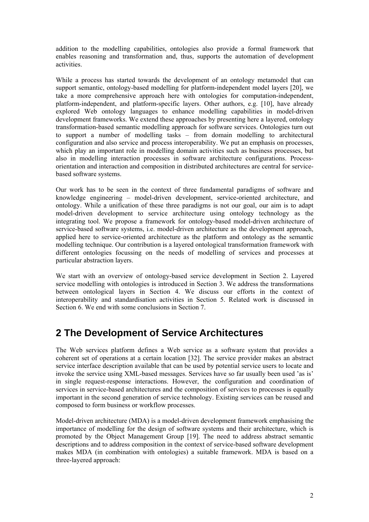addition to the modelling capabilities, ontologies also provide a formal framework that enables reasoning and transformation and, thus, supports the automation of development activities.

While a process has started towards the development of an ontology metamodel that can support semantic, ontology-based modelling for platform-independent model layers [20], we take a more comprehensive approach here with ontologies for computation-independent, platform-independent, and platform-specific layers. Other authors, e.g. [10], have already explored Web ontology languages to enhance modelling capabilities in model-driven development frameworks. We extend these approaches by presenting here a layered, ontology transformation-based semantic modelling approach for software services. Ontologies turn out to support a number of modelling tasks – from domain modelling to architectural configuration and also service and process interoperability. We put an emphasis on processes, which play an important role in modelling domain activities such as business processes, but also in modelling interaction processes in software architecture configurations. Processorientation and interaction and composition in distributed architectures are central for servicebased software systems.

Our work has to be seen in the context of three fundamental paradigms of software and knowledge engineering – model-driven development, service-oriented architecture, and ontology. While a unification of these three paradigms is not our goal, our aim is to adapt model-driven development to service architecture using ontology technology as the integrating tool. We propose a framework for ontology-based model-driven architecture of service-based software systems, i.e. model-driven architecture as the development approach, applied here to service-oriented architecture as the platform and ontology as the semantic modelling technique. Our contribution is a layered ontological transformation framework with different ontologies focussing on the needs of modelling of services and processes at particular abstraction layers.

We start with an overview of ontology-based service development in Section 2. Layered service modelling with ontologies is introduced in Section 3. We address the transformations between ontological layers in Section 4. We discuss our efforts in the context of interoperability and standardisation activities in Section 5. Related work is discussed in Section 6. We end with some conclusions in Section 7.

# **2 The Development of Service Architectures**

The Web services platform defines a Web service as a software system that provides a coherent set of operations at a certain location [32]. The service provider makes an abstract service interface description available that can be used by potential service users to locate and invoke the service using XML-based messages. Services have so far usually been used 'as is' in single request-response interactions. However, the configuration and coordination of services in service-based architectures and the composition of services to processes is equally important in the second generation of service technology. Existing services can be reused and composed to form business or workflow processes.

Model-driven architecture (MDA) is a model-driven development framework emphasising the importance of modelling for the design of software systems and their architecture, which is promoted by the Object Management Group [19]. The need to address abstract semantic descriptions and to address composition in the context of service-based software development makes MDA (in combination with ontologies) a suitable framework. MDA is based on a three-layered approach: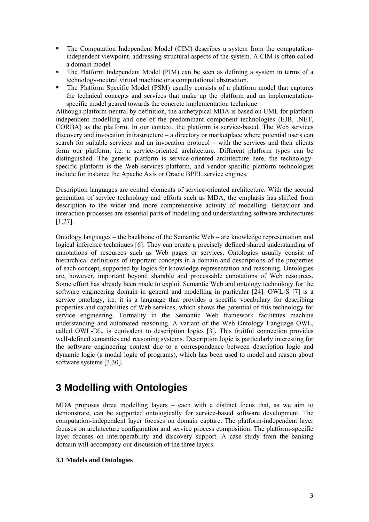- The Computation Independent Model (CIM) describes a system from the computationindependent viewpoint, addressing structural aspects of the system. A CIM is often called a domain model.
- The Platform Independent Model (PIM) can be seen as defining a system in terms of a technology-neutral virtual machine or a computational abstraction.
- The Platform Specific Model (PSM) usually consists of a platform model that captures the technical concepts and services that make up the platform and an implementationspecific model geared towards the concrete implementation technique.

Although platform-neutral by definition, the archetypical MDA is based on UML for platform independent modelling and one of the predominant component technologies (EJB, .NET, CORBA) as the platform. In our context, the platform is service-based. The Web services discovery and invocation infrastructure – a directory or marketplace where potential users can search for suitable services and an invocation protocol – with the services and their clients form our platform, i.e. a service-oriented architecture. Different platform types can be distinguished. The generic platform is service-oriented architecture here, the technologyspecific platform is the Web services platform, and vendor-specific platform technologies include for instance the Apache Axis or Oracle BPEL service engines.

Description languages are central elements of service-oriented architecture. With the second generation of service technology and efforts such as MDA, the emphasis has shifted from description to the wider and more comprehensive activity of modelling. Behaviour and interaction processes are essential parts of modelling and understanding software architectures [1,27].

Ontology languages – the backbone of the Semantic Web – are knowledge representation and logical inference techniques [6]. They can create a precisely defined shared understanding of annotations of resources such as Web pages or services. Ontologies usually consist of hierarchical definitions of important concepts in a domain and descriptions of the properties of each concept, supported by logics for knowledge representation and reasoning. Ontologies are, however, important beyond sharable and processable annotations of Web resources. Some effort has already been made to exploit Semantic Web and ontology technology for the software engineering domain in general and modelling in particular [24]. OWL-S [7] is a service ontology, i.e. it is a language that provides a specific vocabulary for describing properties and capabilities of Web services, which shows the potential of this technology for service engineering. Formality in the Semantic Web framework facilitates machine understanding and automated reasoning. A variant of the Web Ontology Language OWL, called OWL-DL, is equivalent to description logics [3]. This fruitful connection provides well-defined semantics and reasoning systems. Description logic is particularly interesting for the software engineering context due to a correspondence between description logic and dynamic logic (a modal logic of programs), which has been used to model and reason about software systems [3,30].

### **3 Modelling with Ontologies**

MDA proposes three modelling layers – each with a distinct focus that, as we aim to demonstrate, can be supported ontologically for service-based software development. The computation-independent layer focuses on domain capture. The platform-independent layer focuses on architecture configuration and service process composition. The platform-specific layer focuses on interoperability and discovery support. A case study from the banking domain will accompany our discussion of the three layers.

#### **3.1 Models and Ontologies**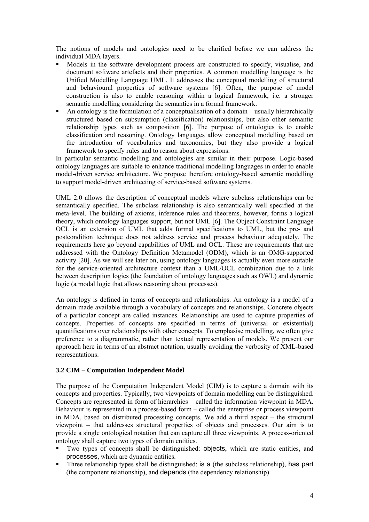The notions of models and ontologies need to be clarified before we can address the individual MDA layers.

- Models in the software development process are constructed to specify, visualise, and document software artefacts and their properties. A common modelling language is the Unified Modelling Language UML. It addresses the conceptual modelling of structural and behavioural properties of software systems [6]. Often, the purpose of model construction is also to enable reasoning within a logical framework, i.e. a stronger semantic modelling considering the semantics in a formal framework.
- An ontology is the formulation of a conceptualisation of a domain usually hierarchically structured based on subsumption (classification) relationships, but also other semantic relationship types such as composition [6]. The purpose of ontologies is to enable classification and reasoning. Ontology languages allow conceptual modelling based on the introduction of vocabularies and taxonomies, but they also provide a logical framework to specify rules and to reason about expressions.

In particular semantic modelling and ontologies are similar in their purpose. Logic-based ontology languages are suitable to enhance traditional modelling languages in order to enable model-driven service architecture. We propose therefore ontology-based semantic modelling to support model-driven architecting of service-based software systems.

UML 2.0 allows the description of conceptual models where subclass relationships can be semantically specified. The subclass relationship is also semantically well specified at the meta-level. The building of axioms, inference rules and theorems, however, forms a logical theory, which ontology languages support, but not UML [6]. The Object Constraint Language OCL is an extension of UML that adds formal specifications to UML, but the pre- and postcondition technique does not address service and process behaviour adequately. The requirements here go beyond capabilities of UML and OCL. These are requirements that are addressed with the Ontology Definition Metamodel (ODM), which is an OMG-supported activity [20]. As we will see later on, using ontology languages is actually even more suitable for the service-oriented architecture context than a UML/OCL combination due to a link between description logics (the foundation of ontology languages such as OWL) and dynamic logic (a modal logic that allows reasoning about processes).

An ontology is defined in terms of concepts and relationships. An ontology is a model of a domain made available through a vocabulary of concepts and relationships. Concrete objects of a particular concept are called instances. Relationships are used to capture properties of concepts. Properties of concepts are specified in terms of (universal or existential) quantifications over relationships with other concepts. To emphasise modelling, we often give preference to a diagrammatic, rather than textual representation of models. We present our approach here in terms of an abstract notation, usually avoiding the verbosity of XML-based representations.

#### **3.2 CIM – Computation Independent Model**

The purpose of the Computation Independent Model (CIM) is to capture a domain with its concepts and properties. Typically, two viewpoints of domain modelling can be distinguished. Concepts are represented in form of hierarchies – called the information viewpoint in MDA. Behaviour is represented in a process-based form – called the enterprise or process viewpoint in MDA, based on distributed processing concepts. We add a third aspect – the structural viewpoint – that addresses structural properties of objects and processes. Our aim is to provide a single ontological notation that can capture all three viewpoints. A process-oriented ontology shall capture two types of domain entities.

- Two types of concepts shall be distinguished: objects, which are static entities, and processes, which are dynamic entities.
- Three relationship types shall be distinguished: is a (the subclass relationship), has part (the component relationship), and depends (the dependency relationship).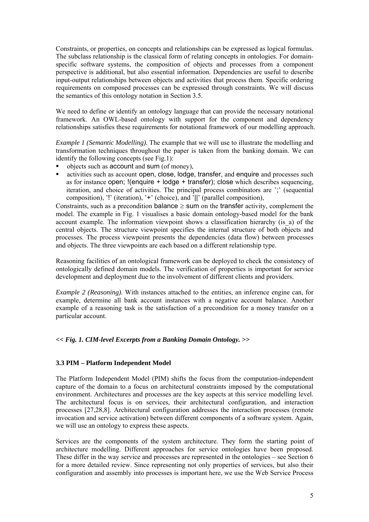Constraints, or properties, on concepts and relationships can be expressed as logical formulas. The subclass relationship is the classical form of relating concepts in ontologies. For domainspecific software systems, the composition of objects and processes from a component perspective is additional, but also essential information. Dependencies are useful to describe input-output relationships between objects and activities that process them. Specific ordering requirements on composed processes can be expressed through constraints. We will discuss the semantics of this ontology notation in Section 3.5.

We need to define or identify an ontology language that can provide the necessary notational framework. An OWL-based ontology with support for the component and dependency relationships satisfies these requirements for notational framework of our modelling approach.

*Example 1 (Semantic Modelling).* The example that we will use to illustrate the modelling and transformation techniques throughout the paper is taken from the banking domain. We can identify the following concepts (see Fig.1):

- objects such as account and sum (of money),
- activities such as account open, close, lodge, transfer, and enquire and processes such as for instance open; !(enquire + lodge + transfer); close which describes sequencing, iteration, and choice of activities. The principal process combinators are ';' (sequential composition), '!' (iteration), '+' (choice), and '||' (parallel composition),

Constraints, such as a precondition balance  $\ge$  sum on the transfer activity, complement the model. The example in Fig. 1 visualises a basic domain ontology-based model for the bank account example. The information viewpoint shows a classification hierarchy (is\_a) of the central objects. The structure viewpoint specifies the internal structure of both objects and processes. The process viewpoint presents the dependencies (data flow) between processes and objects. The three viewpoints are each based on a different relationship type.

Reasoning facilities of an ontological framework can be deployed to check the consistency of ontologically defined domain models. The verification of properties is important for service development and deployment due to the involvement of different clients and providers.

*Example 2 (Reasoning).* With instances attached to the entities, an inference engine can, for example, determine all bank account instances with a negative account balance. Another example of a reasoning task is the satisfaction of a precondition for a money transfer on a particular account.

#### *<< Fig. 1. CIM-level Excerpts from a Banking Domain Ontology. >>*

#### **3.3 PIM – Platform Independent Model**

The Platform Independent Model (PIM) shifts the focus from the computation-independent capture of the domain to a focus on architectural constraints imposed by the computational environment. Architectures and processes are the key aspects at this service modelling level. The architectural focus is on services, their architectural configuration, and interaction processes [27,28,8]. Architectural configuration addresses the interaction processes (remote invocation and service activation) between different components of a software system. Again, we will use an ontology to express these aspects.

Services are the components of the system architecture. They form the starting point of architecture modelling. Different approaches for service ontologies have been proposed. These differ in the way service and processes are represented in the ontologies – see Section 6 for a more detailed review. Since representing not only properties of services, but also their configuration and assembly into processes is important here, we use the Web Service Process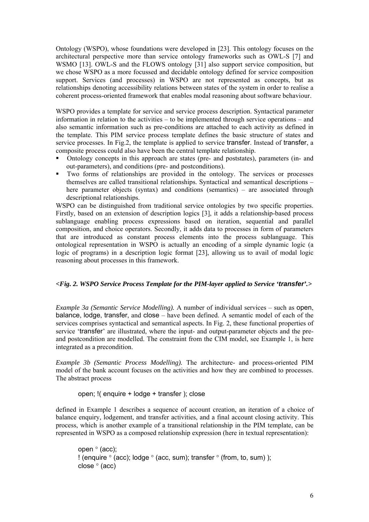Ontology (WSPO), whose foundations were developed in [23]. This ontology focuses on the architectural perspective more than service ontology frameworks such as OWL-S [7] and WSMO [13]. OWL-S and the FLOWS ontology [31] also support service composition, but we chose WSPO as a more focussed and decidable ontology defined for service composition support. Services (and processes) in WSPO are not represented as concepts, but as relationships denoting accessibility relations between states of the system in order to realise a coherent process-oriented framework that enables modal reasoning about software behaviour.

WSPO provides a template for service and service process description. Syntactical parameter information in relation to the activities – to be implemented through service operations – and also semantic information such as pre-conditions are attached to each activity as defined in the template. This PIM service process template defines the basic structure of states and service processes. In Fig.2, the template is applied to service transfer. Instead of transfer, a composite process could also have been the central template relationship.

- Ontology concepts in this approach are states (pre- and poststates), parameters (in- and out-parameters), and conditions (pre- and postconditions).
- Two forms of relationships are provided in the ontology. The services or processes themselves are called transitional relationships. Syntactical and semantical descriptions – here parameter objects (syntax) and conditions (semantics) – are associated through descriptional relationships.

WSPO can be distinguished from traditional service ontologies by two specific properties. Firstly, based on an extension of description logics [3], it adds a relationship-based process sublanguage enabling process expressions based on iteration, sequential and parallel composition, and choice operators. Secondly, it adds data to processes in form of parameters that are introduced as constant process elements into the process sublanguage. This ontological representation in WSPO is actually an encoding of a simple dynamic logic (a logic of programs) in a description logic format [23], allowing us to avail of modal logic reasoning about processes in this framework.

#### *<Fig. 2. WSPO Service Process Template for the PIM-layer applied to Service 'transfer'.>*

*Example 3a (Semantic Service Modelling).* A number of individual services – such as open, balance, lodge, transfer, and close – have been defined. A semantic model of each of the services comprises syntactical and semantical aspects. In Fig. 2, these functional properties of service 'transfer' are illustrated, where the input- and output-parameter objects and the preand postcondition are modelled. The constraint from the CIM model, see Example 1, is here integrated as a precondition.

*Example 3b (Semantic Process Modelling).* The architecture- and process-oriented PIM model of the bank account focuses on the activities and how they are combined to processes. The abstract process

open; !( enquire + lodge + transfer ); close

defined in Example 1 describes a sequence of account creation, an iteration of a choice of balance enquiry, lodgement, and transfer activities, and a final account closing activity. This process, which is another example of a transitional relationship in the PIM template, can be represented in WSPO as a composed relationship expression (here in textual representation):

```
open ° (acc); 
! (enquire ° (acc); lodge ° (acc, sum); transfer ° (from, to, sum) ); 
close ° (acc)
```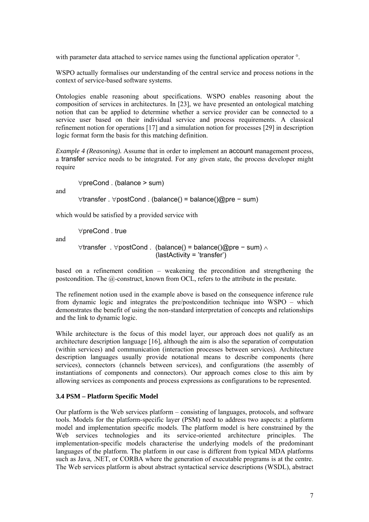with parameter data attached to service names using the functional application operator  $\circ$ .

WSPO actually formalises our understanding of the central service and process notions in the context of service-based software systems.

Ontologies enable reasoning about specifications. WSPO enables reasoning about the composition of services in architectures. In [23], we have presented an ontological matching notion that can be applied to determine whether a service provider can be connected to a service user based on their individual service and process requirements. A classical refinement notion for operations [17] and a simulation notion for processes [29] in description logic format form the basis for this matching definition.

*Example 4 (Reasoning).* Assume that in order to implement an **account** management process, a transfer service needs to be integrated. For any given state, the process developer might require

∀preCond . (balance > sum) and

```
∀transfer . ∀postCond . (balance() = balance()@pre − sum)
```
which would be satisfied by a provided service with

∀preCond . true

and

```
∀transfer . ∀postCond . (balance() = balance()@pre − sum) ∧ 
                           (lastActivity = 'transfer')
```
based on a refinement condition – weakening the precondition and strengthening the postcondition. The @-construct, known from OCL, refers to the attribute in the prestate.

The refinement notion used in the example above is based on the consequence inference rule from dynamic logic and integrates the pre/postcondition technique into WSPO – which demonstrates the benefit of using the non-standard interpretation of concepts and relationships and the link to dynamic logic.

While architecture is the focus of this model layer, our approach does not qualify as an architecture description language [16], although the aim is also the separation of computation (within services) and communication (interaction processes between services). Architecture description languages usually provide notational means to describe components (here services), connectors (channels between services), and configurations (the assembly of instantiations of components and connectors). Our approach comes close to this aim by allowing services as components and process expressions as configurations to be represented.

#### **3.4 PSM – Platform Specific Model**

Our platform is the Web services platform – consisting of languages, protocols, and software tools. Models for the platform-specific layer (PSM) need to address two aspects: a platform model and implementation specific models. The platform model is here constrained by the Web services technologies and its service-oriented architecture principles. The implementation-specific models characterise the underlying models of the predominant languages of the platform. The platform in our case is different from typical MDA platforms such as Java, .NET, or CORBA where the generation of executable programs is at the centre. The Web services platform is about abstract syntactical service descriptions (WSDL), abstract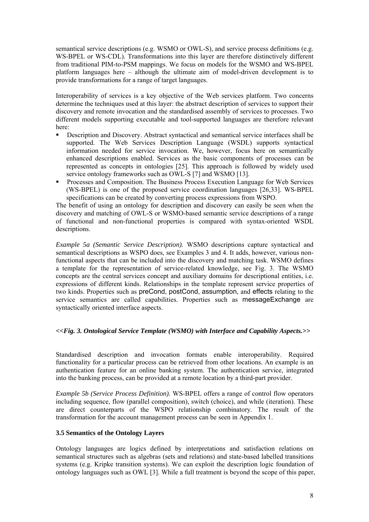semantical service descriptions (e.g. WSMO or OWL-S), and service process definitions (e.g. WS-BPEL or WS-CDL). Transformations into this layer are therefore distinctively different from traditional PIM-to-PSM mappings. We focus on models for the WSMO and WS-BPEL platform languages here – although the ultimate aim of model-driven development is to provide transformations for a range of target languages.

Interoperability of services is a key objective of the Web services platform. Two concerns determine the techniques used at this layer: the abstract description of services to support their discovery and remote invocation and the standardised assembly of services to processes. Two different models supporting executable and tool-supported languages are therefore relevant here:

- Description and Discovery. Abstract syntactical and semantical service interfaces shall be supported. The Web Services Description Language (WSDL) supports syntactical information needed for service invocation. We, however, focus here on semantically enhanced descriptions enabled. Services as the basic components of processes can be represented as concepts in ontologies [25]. This approach is followed by widely used service ontology frameworks such as OWL-S [7] and WSMO [13].
- Processes and Composition. The Business Process Execution Language for Web Services (WS-BPEL) is one of the proposed service coordination languages [26,33]. WS-BPEL specifications can be created by converting process expressions from WSPO.

The benefit of using an ontology for description and discovery can easily be seen when the discovery and matching of OWL-S or WSMO-based semantic service descriptions of a range of functional and non-functional properties is compared with syntax-oriented WSDL descriptions.

*Example 5a (Semantic Service Description).* WSMO descriptions capture syntactical and semantical descriptions as WSPO does, see Examples 3 and 4. It adds, however, various nonfunctional aspects that can be included into the discovery and matching task. WSMO defines a template for the representation of service-related knowledge, see Fig. 3. The WSMO concepts are the central services concept and auxiliary domains for descriptional entities, i.e. expressions of different kinds. Relationships in the template represent service properties of two kinds. Properties such as preCond, postCond, assumption, and effects relating to the service semantics are called capabilities. Properties such as messageExchange are syntactically oriented interface aspects.

#### *<<Fig. 3. Ontological Service Template (WSMO) with Interface and Capability Aspects.>>*

Standardised description and invocation formats enable interoperability. Required functionality for a particular process can be retrieved from other locations. An example is an authentication feature for an online banking system. The authentication service, integrated into the banking process, can be provided at a remote location by a third-part provider.

*Example 5b (Service Process Definition).* WS-BPEL offers a range of control flow operators including sequence, flow (parallel composition), switch (choice), and while (iteration). These are direct counterparts of the WSPO relationship combinatory. The result of the transformation for the account management process can be seen in Appendix 1.

#### **3.5 Semantics of the Ontology Layers**

Ontology languages are logics defined by interpretations and satisfaction relations on semantical structures such as algebras (sets and relations) and state-based labelled transitions systems (e.g. Kripke transition systems). We can exploit the description logic foundation of ontology languages such as OWL [3]. While a full treatment is beyond the scope of this paper,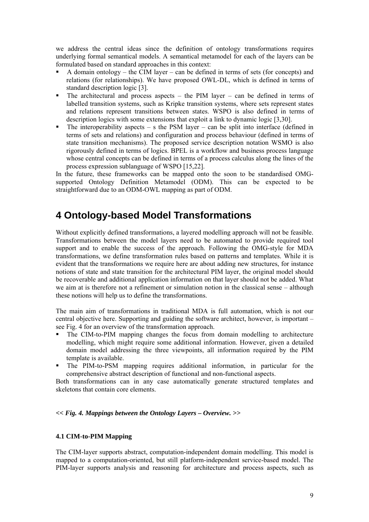we address the central ideas since the definition of ontology transformations requires underlying formal semantical models. A semantical metamodel for each of the layers can be formulated based on standard approaches in this context:

- A domain ontology the CIM layer can be defined in terms of sets (for concepts) and relations (for relationships). We have proposed OWL-DL, which is defined in terms of standard description logic [3].
- The architectural and process aspects the PIM layer can be defined in terms of labelled transition systems, such as Kripke transition systems, where sets represent states and relations represent transitions between states. WSPO is also defined in terms of description logics with some extensions that exploit a link to dynamic logic [3,30].
- The interoperability aspects s the PSM layer can be split into interface (defined in terms of sets and relations) and configuration and process behaviour (defined in terms of state transition mechanisms). The proposed service description notation WSMO is also rigorously defined in terms of logics. BPEL is a workflow and business process language whose central concepts can be defined in terms of a process calculus along the lines of the process expression sublanguage of WSPO [15,22].

In the future, these frameworks can be mapped onto the soon to be standardised OMGsupported Ontology Definition Metamodel (ODM). This can be expected to be straightforward due to an ODM-OWL mapping as part of ODM.

# **4 Ontology-based Model Transformations**

Without explicitly defined transformations, a layered modelling approach will not be feasible. Transformations between the model layers need to be automated to provide required tool support and to enable the success of the approach. Following the OMG-style for MDA transformations, we define transformation rules based on patterns and templates. While it is evident that the transformations we require here are about adding new structures, for instance notions of state and state transition for the architectural PIM layer, the original model should be recoverable and additional application information on that layer should not be added. What we aim at is therefore not a refinement or simulation notion in the classical sense – although these notions will help us to define the transformations.

The main aim of transformations in traditional MDA is full automation, which is not our central objective here. Supporting and guiding the software architect, however, is important – see Fig. 4 for an overview of the transformation approach.

- The CIM-to-PIM mapping changes the focus from domain modelling to architecture modelling, which might require some additional information. However, given a detailed domain model addressing the three viewpoints, all information required by the PIM template is available.
- The PIM-to-PSM mapping requires additional information, in particular for the comprehensive abstract description of functional and non-functional aspects.

Both transformations can in any case automatically generate structured templates and skeletons that contain core elements.

#### *<< Fig. 4. Mappings between the Ontology Layers – Overview. >>*

#### **4.1 CIM-to-PIM Mapping**

The CIM-layer supports abstract, computation-independent domain modelling. This model is mapped to a computation-oriented, but still platform-independent service-based model. The PIM-layer supports analysis and reasoning for architecture and process aspects, such as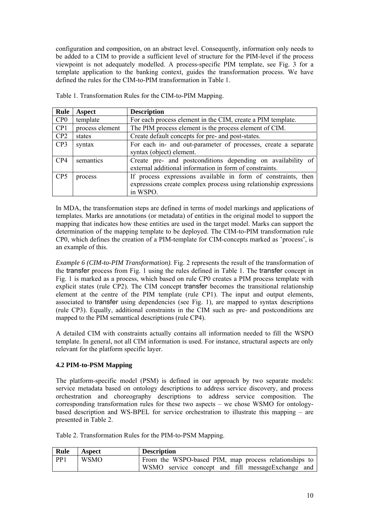configuration and composition, on an abstract level. Consequently, information only needs to be added to a CIM to provide a sufficient level of structure for the PIM-level if the process viewpoint is not adequately modelled. A process-specific PIM template, see Fig. 3 for a template application to the banking context, guides the transformation process. We have defined the rules for the CIM-to-PIM transformation in Table 1.

| Rule            | Aspect          | <b>Description</b>                                                |
|-----------------|-----------------|-------------------------------------------------------------------|
| CP <sub>0</sub> | template        | For each process element in the CIM, create a PIM template.       |
| CP <sub>1</sub> | process element | The PIM process element is the process element of CIM.            |
| CP2             | states          | Create default concepts for pre- and post-states.                 |
| CP <sub>3</sub> | syntax          | For each in- and out-parameter of processes, create a separate    |
|                 |                 | syntax (object) element.                                          |
| CP4             | semantics       | Create pre- and postconditions depending on availability of       |
|                 |                 | external additional information in form of constraints.           |
| CP <sub>5</sub> | process         | If process expressions available in form of constraints, then     |
|                 |                 | expressions create complex process using relationship expressions |
|                 |                 | in WSPO.                                                          |

Table 1. Transformation Rules for the CIM-to-PIM Mapping.

In MDA, the transformation steps are defined in terms of model markings and applications of templates. Marks are annotations (or metadata) of entities in the original model to support the mapping that indicates how these entities are used in the target model. Marks can support the determination of the mapping template to be deployed. The CIM-to-PIM transformation rule CP0, which defines the creation of a PIM-template for CIM-concepts marked as 'process', is an example of this.

*Example 6 (CIM-to-PIM Transformation).* Fig. 2 represents the result of the transformation of the transfer process from Fig. 1 using the rules defined in Table 1. The transfer concept in Fig. 1 is marked as a process, which based on rule CP0 creates a PIM process template with explicit states (rule CP2). The CIM concept transfer becomes the transitional relationship element at the centre of the PIM template (rule CP1). The input and output elements, associated to transfer using dependencies (see Fig. 1), are mapped to syntax descriptions (rule CP3). Equally, additional constraints in the CIM such as pre- and postconditions are mapped to the PIM semantical descriptions (rule CP4).

A detailed CIM with constraints actually contains all information needed to fill the WSPO template. In general, not all CIM information is used. For instance, structural aspects are only relevant for the platform specific layer.

#### **4.2 PIM-to-PSM Mapping**

The platform-specific model (PSM) is defined in our approach by two separate models: service metadata based on ontology descriptions to address service discovery, and process orchestration and choreography descriptions to address service composition. The corresponding transformation rules for these two aspects – we chose WSMO for ontologybased description and WS-BPEL for service orchestration to illustrate this mapping – are presented in Table 2.

Table 2. Transformation Rules for the PIM-to-PSM Mapping.

| Rule            | Aspect | <b>Description</b>                                    |
|-----------------|--------|-------------------------------------------------------|
| PP <sub>1</sub> | WSMO   | From the WSPO-based PIM, map process relationships to |
|                 |        | WSMO service concept and fill message Exchange and    |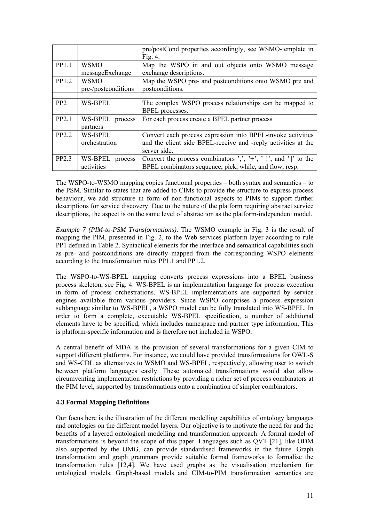|                 |                     | pre/postCond properties accordingly, see WSMO-template in      |
|-----------------|---------------------|----------------------------------------------------------------|
|                 |                     | Fig. $4$ .                                                     |
| PP1.1           | <b>WSMO</b>         | Map the WSPO in and out objects onto WSMO message              |
|                 | messageExchange     | exchange descriptions.                                         |
| PP1.2           | <b>WSMO</b>         | Map the WSPO pre- and postconditions onto WSMO pre and         |
|                 | pre-/postconditions | postconditions.                                                |
|                 |                     |                                                                |
| PP <sub>2</sub> | <b>WS-BPEL</b>      | The complex WSPO process relationships can be mapped to        |
|                 |                     | <b>BPEL</b> processes.                                         |
| PP2.1           | WS-BPEL process     | For each process create a BPEL partner process                 |
|                 | partners            |                                                                |
| PP2.2           | WS-BPEL             | Convert each process expression into BPEL-invoke activities    |
|                 | orchestration       | and the client side BPEL-receive and -reply activities at the  |
|                 |                     | server side.                                                   |
| PP2.3           | WS-BPEL<br>process  | Convert the process combinators ';', '+', '!', and '  ' to the |
|                 | activities          | BPEL combinators sequence, pick, while, and flow, resp.        |

The WSPO-to-WSMO mapping copies functional properties – both syntax and semantics – to the PSM. Similar to states that are added to CIMs to provide the structure to express process behaviour, we add structure in form of non-functional aspects to PIMs to support further descriptions for service discovery. Due to the nature of the platform requiring abstract service descriptions, the aspect is on the same level of abstraction as the platform-independent model.

*Example 7 (PIM-to-PSM Transformations)*. The WSMO example in Fig. 3 is the result of mapping the PIM, presented in Fig. 2, to the Web services platform layer according to rule PP1 defined in Table 2. Syntactical elements for the interface and semantical capabilities such as pre- and postconditions are directly mapped from the corresponding WSPO elements according to the transformation rules PP1.1 and PP1.2.

The WSPO-to-WS-BPEL mapping converts process expressions into a BPEL business process skeleton, see Fig. 4. WS-BPEL is an implementation language for process execution in form of process orchestrations. WS-BPEL implementations are supported by service engines available from various providers. Since WSPO comprises a process expression sublanguage similar to WS-BPEL, a WSPO model can be fully translated into WS-BPEL. In order to form a complete, executable WS-BPEL specification, a number of additional elements have to be specified, which includes namespace and partner type information. This is platform-specific information and is therefore not included in WSPO.

A central benefit of MDA is the provision of several transformations for a given CIM to support different platforms. For instance, we could have provided transformations for OWL-S and WS-CDL as alternatives to WSMO and WS-BPEL, respectively, allowing user to switch between platform languages easily. These automated transformations would also allow circumventing implementation restrictions by providing a richer set of process combinators at the PIM level, supported by transformations onto a combination of simpler combinators.

#### **4.3 Formal Mapping Definitions**

Our focus here is the illustration of the different modelling capabilities of ontology languages and ontologies on the different model layers. Our objective is to motivate the need for and the benefits of a layered ontological modelling and transformation approach. A formal model of transformations is beyond the scope of this paper. Languages such as QVT [21], like ODM also supported by the OMG, can provide standardised frameworks in the future. Graph transformation and graph grammars provide suitable formal frameworks to formalise the transformation rules [12,4]. We have used graphs as the visualisation mechanism for ontological models. Graph-based models and CIM-to-PIM transformation semantics are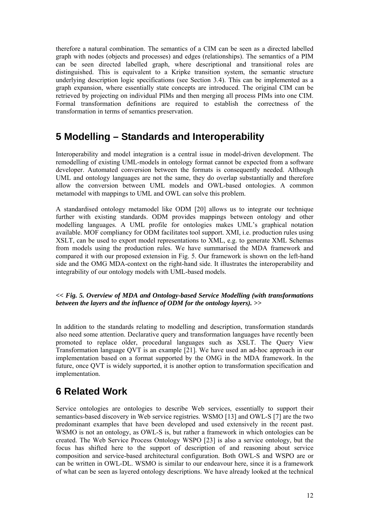therefore a natural combination. The semantics of a CIM can be seen as a directed labelled graph with nodes (objects and processes) and edges (relationships). The semantics of a PIM can be seen directed labelled graph, where descriptional and transitional roles are distinguished. This is equivalent to a Kripke transition system, the semantic structure underlying description logic specifications (see Section 3.4). This can be implemented as a graph expansion, where essentially state concepts are introduced. The original CIM can be retrieved by projecting on individual PIMs and then merging all process PIMs into one CIM. Formal transformation definitions are required to establish the correctness of the transformation in terms of semantics preservation.

# **5 Modelling – Standards and Interoperability**

Interoperability and model integration is a central issue in model-driven development. The remodelling of existing UML-models in ontology format cannot be expected from a software developer. Automated conversion between the formats is consequently needed. Although UML and ontology languages are not the same, they do overlap substantially and therefore allow the conversion between UML models and OWL-based ontologies. A common metamodel with mappings to UML and OWL can solve this problem.

A standardised ontology metamodel like ODM [20] allows us to integrate our technique further with existing standards. ODM provides mappings between ontology and other modelling languages. A UML profile for ontologies makes UML's graphical notation available. MOF compliancy for ODM facilitates tool support. XMI, i.e. production rules using XSLT, can be used to export model representations to XML, e.g. to generate XML Schemas from models using the production rules. We have summarised the MDA framework and compared it with our proposed extension in Fig. 5. Our framework is shown on the left-hand side and the OMG MDA-context on the right-hand side. It illustrates the interoperability and integrability of our ontology models with UML-based models.

#### *<< Fig. 5. Overview of MDA and Ontology-based Service Modelling (with transformations between the layers and the influence of ODM for the ontology layers). >>*

In addition to the standards relating to modelling and description, transformation standards also need some attention. Declarative query and transformation languages have recently been promoted to replace older, procedural languages such as XSLT. The Query View Transformation language QVT is an example [21]. We have used an ad-hoc approach in our implementation based on a format supported by the OMG in the MDA framework. In the future, once QVT is widely supported, it is another option to transformation specification and implementation.

# **6 Related Work**

Service ontologies are ontologies to describe Web services, essentially to support their semantics-based discovery in Web service registries. WSMO [13] and OWL-S [7] are the two predominant examples that have been developed and used extensively in the recent past. WSMO is not an ontology, as OWL-S is, but rather a framework in which ontologies can be created. The Web Service Process Ontology WSPO [23] is also a service ontology, but the focus has shifted here to the support of description of and reasoning about service composition and service-based architectural configuration. Both OWL-S and WSPO are or can be written in OWL-DL. WSMO is similar to our endeavour here, since it is a framework of what can be seen as layered ontology descriptions. We have already looked at the technical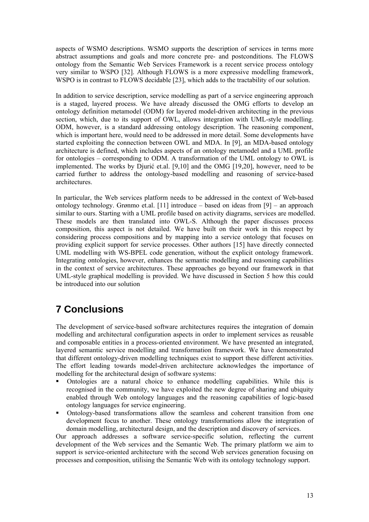aspects of WSMO descriptions. WSMO supports the description of services in terms more abstract assumptions and goals and more concrete pre- and postconditions. The FLOWS ontology from the Semantic Web Services Framework is a recent service process ontology very similar to WSPO [32]. Although FLOWS is a more expressive modelling framework, WSPO is in contrast to FLOWS decidable [23], which adds to the tractability of our solution.

In addition to service description, service modelling as part of a service engineering approach is a staged, layered process. We have already discussed the OMG efforts to develop an ontology definition metamodel (ODM) for layered model-driven architecting in the previous section, which, due to its support of OWL, allows integration with UML-style modelling. ODM, however, is a standard addressing ontology description. The reasoning component, which is important here, would need to be addressed in more detail. Some developments have started exploiting the connection between OWL and MDA. In [9], an MDA-based ontology architecture is defined, which includes aspects of an ontology metamodel and a UML profile for ontologies – corresponding to ODM. A transformation of the UML ontology to OWL is implemented. The works by Djurić et.al. [9,10] and the OMG [19,20], however, need to be carried further to address the ontology-based modelling and reasoning of service-based architectures.

In particular, the Web services platform needs to be addressed in the context of Web-based ontology technology. Grønmo et.al. [11] introduce – based on ideas from [9] – an approach similar to ours. Starting with a UML profile based on activity diagrams, services are modelled. These models are then translated into OWL-S. Although the paper discusses process composition, this aspect is not detailed. We have built on their work in this respect by considering process compositions and by mapping into a service ontology that focuses on providing explicit support for service processes. Other authors [15] have directly connected UML modelling with WS-BPEL code generation, without the explicit ontology framework. Integrating ontologies, however, enhances the semantic modelling and reasoning capabilities in the context of service architectures. These approaches go beyond our framework in that UML-style graphical modelling is provided. We have discussed in Section 5 how this could be introduced into our solution

# **7 Conclusions**

The development of service-based software architectures requires the integration of domain modelling and architectural configuration aspects in order to implement services as reusable and composable entities in a process-oriented environment. We have presented an integrated, layered semantic service modelling and transformation framework. We have demonstrated that different ontology-driven modelling techniques exist to support these different activities. The effort leading towards model-driven architecture acknowledges the importance of modelling for the architectural design of software systems:

- Ontologies are a natural choice to enhance modelling capabilities. While this is recognised in the community, we have exploited the new degree of sharing and ubiquity enabled through Web ontology languages and the reasoning capabilities of logic-based ontology languages for service engineering.
- Ontology-based transformations allow the seamless and coherent transition from one development focus to another. These ontology transformations allow the integration of domain modelling, architectural design, and the description and discovery of services.

Our approach addresses a software service-specific solution, reflecting the current development of the Web services and the Semantic Web. The primary platform we aim to support is service-oriented architecture with the second Web services generation focusing on processes and composition, utilising the Semantic Web with its ontology technology support.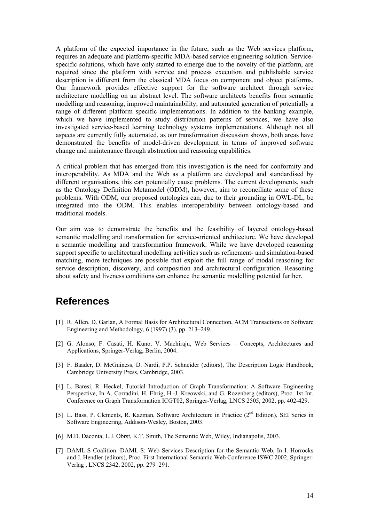A platform of the expected importance in the future, such as the Web services platform, requires an adequate and platform-specific MDA-based service engineering solution. Servicespecific solutions, which have only started to emerge due to the novelty of the platform, are required since the platform with service and process execution and publishable service description is different from the classical MDA focus on component and object platforms. Our framework provides effective support for the software architect through service architecture modelling on an abstract level. The software architects benefits from semantic modelling and reasoning, improved maintainability, and automated generation of potentially a range of different platform specific implementations. In addition to the banking example, which we have implemented to study distribution patterns of services, we have also investigated service-based learning technology systems implementations. Although not all aspects are currently fully automated, as our transformation discussion shows, both areas have demonstrated the benefits of model-driven development in terms of improved software change and maintenance through abstraction and reasoning capabilities.

A critical problem that has emerged from this investigation is the need for conformity and interoperability. As MDA and the Web as a platform are developed and standardised by different organisations, this can potentially cause problems. The current developments, such as the Ontology Definition Metamodel (ODM), however, aim to reconciliate some of these problems. With ODM, our proposed ontologies can, due to their grounding in OWL-DL, be integrated into the ODM. This enables interoperability between ontology-based and traditional models.

Our aim was to demonstrate the benefits and the feasibility of layered ontology-based semantic modelling and transformation for service-oriented architecture. We have developed a semantic modelling and transformation framework. While we have developed reasoning support specific to architectural modelling activities such as refinement- and simulation-based matching, more techniques are possible that exploit the full range of modal reasoning for service description, discovery, and composition and architectural configuration. Reasoning about safety and liveness conditions can enhance the semantic modelling potential further.

## **References**

- [1] R. Allen, D. Garlan, A Formal Basis for Architectural Connection, ACM Transactions on Software Engineering and Methodology, 6 (1997) (3), pp. 213–249.
- [2] G. Alonso, F. Casati, H. Kuno, V. Machiraju, Web Services Concepts, Architectures and Applications, Springer-Verlag, Berlin, 2004.
- [3] F. Baader, D. McGuiness, D. Nardi, P.P. Schneider (editors), The Description Logic Handbook, Cambridge University Press, Cambridge, 2003.
- [4] L. Baresi, R. Heckel, Tutorial Introduction of Graph Transformation: A Software Engineering Perspective, In A. Corradini, H. Ehrig, H.-J. Kreowski, and G. Rozenberg (editors), Proc. 1st Int. Conference on Graph Transformation ICGT02, Springer-Verlag, LNCS 2505, 2002, pp. 402-429.
- [5] L. Bass, P. Clements, R. Kazman, Software Architecture in Practice (2<sup>nd</sup> Edition), SEI Series in Software Engineering, Addison-Wesley, Boston, 2003.
- [6] M.D. Daconta, L.J. Obrst, K.T. Smith, The Semantic Web, Wiley, Indianapolis, 2003.
- [7] DAML-S Coalition. DAML-S: Web Services Description for the Semantic Web, In I. Horrocks and J. Hendler (editors), Proc. First International Semantic Web Conference ISWC 2002, Springer-Verlag , LNCS 2342, 2002, pp. 279–291.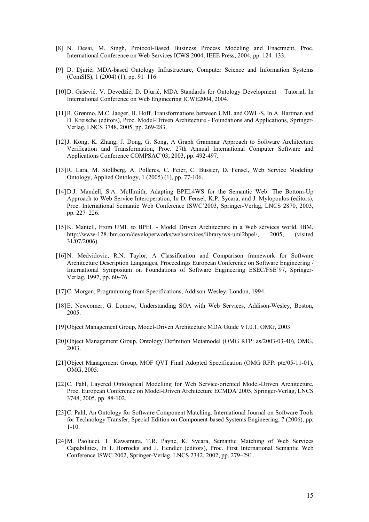- [8] N. Desai, M. Singh, Protocol-Based Business Process Modeling and Enactment, Proc. International Conference on Web Services ICWS 2004, IEEE Press, 2004, pp. 124–133.
- [9] D. Djurić, MDA-based Ontology Infrastructure, Computer Science and Information Systems (ComSIS), 1 (2004) (1), pp. 91–116.
- [10] D. Gašević, V. Devedžić, D. Djurić, MDA Standards for Ontology Development Tutorial, In International Conference on Web Engineering ICWE2004, 2004.
- [11]R. Grønmo, M.C. Jaeger, H. Hoff. Transformations between UML and OWL-S, In A. Hartman and D. Kreische (editors), Proc. Model-Driven Architecture - Foundations and Applications, Springer-Verlag, LNCS 3748, 2005, pp. 269-283.
- [12]J. Kong, K. Zhang, J. Dong, G. Song, A Graph Grammar Approach to Software Architecture Verification and Transformation, Proc. 27th Annual International Computer Software and Applications Conference COMPSAC'03, 2003, pp. 492-497.
- [13]R. Lara, M. Stollberg, A. Polleres, C. Feier, C. Bussler, D. Fensel, Web Service Modeling Ontology, Applied Ontology, 1 (2005) (1), pp. 77-106.
- [14]D.J. Mandell, S.A. McIllraith, Adapting BPEL4WS for the Semantic Web: The Bottom-Up Approach to Web Service Interoperation, In D. Fensel, K.P. Sycara, and J. Mylopoulos (editors), Proc. International Semantic Web Conference ISWC'2003, Springer-Verlag, LNCS 2870, 2003, pp. 227–226.
- [15]K. Mantell, From UML to BPEL Model Driven Architecture in a Web services world, IBM, http://www-128.ibm.com/developerworks/webservices/library/ws-uml2bpel/, 2005, (visited 31/07/2006).
- [16]N. Medvidovic, R.N. Taylor, A Classification and Comparison framework for Software Architecture Description Languages, Proceedings European Conference on Software Engineering / International Symposium on Foundations of Software Engineering ESEC/FSE'97, Springer-Verlag, 1997, pp. 60–76.
- [17]C. Morgan, Programming from Specifications, Addison-Wesley, London, 1994.
- [18]E. Newcomer, G. Lomow, Understanding SOA with Web Services, Addison-Wesley, Boston, 2005.
- [19]Object Management Group, Model-Driven Architecture MDA Guide V1.0.1, OMG, 2003.
- [20]Object Management Group, Ontology Definition Metamodel (OMG RFP: as/2003-03-40), OMG, 2003.
- [21]Object Management Group, MOF QVT Final Adopted Specification (OMG RFP: ptc/05-11-01), OMG, 2005.
- [22]C. Pahl, Layered Ontological Modelling for Web Service-oriented Model-Driven Architecture, Proc. European Conference on Model-Driven Architecture ECMDA'2005, Springer-Verlag, LNCS 3748, 2005, pp. 88-102.
- [23]C. Pahl, An Ontology for Software Component Matching. International Journal on Software Tools for Technology Transfer, Special Edition on Component-based Systems Engineering, 7 (2006), pp. 1-10.
- [24]M. Paolucci, T. Kawamura, T.R. Payne, K. Sycara, Semantic Matching of Web Services Capabilities, In I. Horrocks and J. Hendler (editors), Proc. First International Semantic Web Conference ISWC 2002, Springer-Verlag, LNCS 2342, 2002, pp. 279–291.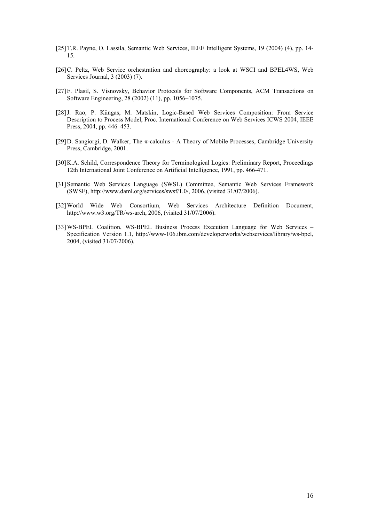- [25]T.R. Payne, O. Lassila, Semantic Web Services, IEEE Intelligent Systems, 19 (2004) (4), pp. 14- 15.
- [26]C. Peltz, Web Service orchestration and choreography: a look at WSCI and BPEL4WS, Web Services Journal, 3 (2003) (7).
- [27]F. Plasil, S. Visnovsky, Behavior Protocols for Software Components, ACM Transactions on Software Engineering, 28 (2002) (11), pp. 1056–1075.
- [28]J. Rao, P. Küngas, M. Matskin, Logic-Based Web Services Composition: From Service Description to Process Model, Proc. International Conference on Web Services ICWS 2004, IEEE Press, 2004, pp. 446–453.
- [29]D. Sangiorgi, D. Walker, The π-calculus A Theory of Mobile Processes, Cambridge University Press, Cambridge, 2001.
- [30] K.A. Schild, Correspondence Theory for Terminological Logics: Preliminary Report, Proceedings 12th International Joint Conference on Artificial Intelligence, 1991, pp. 466-471.
- [31]Semantic Web Services Language (SWSL) Committee, Semantic Web Services Framework (SWSF), http://www.daml.org/services/swsf/1.0/, 2006, (visited 31/07/2006).
- [32]World Wide Web Consortium, Web Services Architecture Definition Document, http://www.w3.org/TR/ws-arch, 2006, (visited 31/07/2006).
- [33]WS-BPEL Coalition, WS-BPEL Business Process Execution Language for Web Services Specification Version 1.1, http://www-106.ibm.com/developerworks/webservices/library/ws-bpel, 2004, (visited 31/07/2006).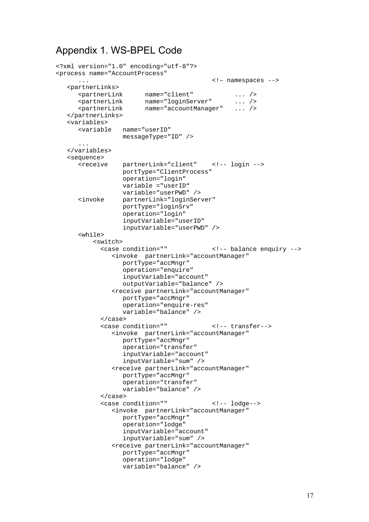# Appendix 1. WS-BPEL Code

```
<?xml version="1.0" encoding="utf-8"?> 
<process name="AccountProcess" 
      ... <!– namespaces --> 
    <partnerLinks> 
       <partnerLink name="client" ... /> 
       <partnerLink name="loginServer" ... /> 
       <partnerLink name="accountManager" ... /> 
   </partnerLinks> 
   <variables> 
       <variable name="userID" 
                  messageType="ID" /> 
       ... 
   </variables> 
   <sequence> 
      <receive partnerLink="client" <!-- login --> 
                   portType="ClientProcess" 
                   operation="login" 
                   variable ="userID" 
                   variable="userPWD" /> 
       <invoke partnerLink="loginServer" 
                   portType="loginSrv" 
                   operation="login" 
                   inputVariable="userID" 
                   inputVariable="userPWD" /> 
       <while> 
          <switch><br><case condition=""
                                           <!-- balance enquiry -->
                <invoke partnerLink="accountManager" 
                   portType="accMngr" 
                   operation="enquire" 
                   inputVariable="account" 
                   outputVariable="balance" /> 
                <receive partnerLink="accountManager" 
                   portType="accMngr" 
                   operation="enquire-res" 
                   variable="balance" /> 
             </case> 
             <case condition="" <!-- transfer--> 
                <invoke partnerLink="accountManager" 
                   portType="accMngr" 
                   operation="transfer" 
                   inputVariable="account" 
                   inputVariable="sum" /> 
                <receive partnerLink="accountManager" 
                   portType="accMngr" 
                   operation="transfer" 
                   variable="balance" /> 
             </case> 
            <case condition="" <!-- lodge--> 
                <invoke partnerLink="accountManager" 
                   portType="accMngr" 
                   operation="lodge" 
                   inputVariable="account" 
                   inputVariable="sum" /> 
                <receive partnerLink="accountManager" 
                   portType="accMngr" 
                   operation="lodge" 
                   variable="balance" />
```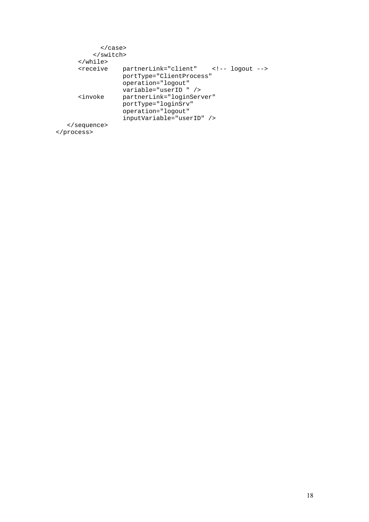| $\langle$ case>                                                                                                                             |                                                                                                          |
|---------------------------------------------------------------------------------------------------------------------------------------------|----------------------------------------------------------------------------------------------------------|
|                                                                                                                                             |                                                                                                          |
| $\langle$ /while>                                                                                                                           |                                                                                                          |
| <i>sreceive</i>                                                                                                                             | $partnerLink="client"$ logout<br>portType="ClientProcess"<br>operation="logout"<br>variable="userID " /> |
| <invoke< td=""><td>partnerLink="loginServer"<br/>portType="loginSrv"<br/>operation="logout"<br/>inputVariable="userID" /&gt;</td></invoke<> | partnerLink="loginServer"<br>portType="loginSrv"<br>operation="logout"<br>inputVariable="userID" />      |
| <br>                                                                                                                                        |                                                                                                          |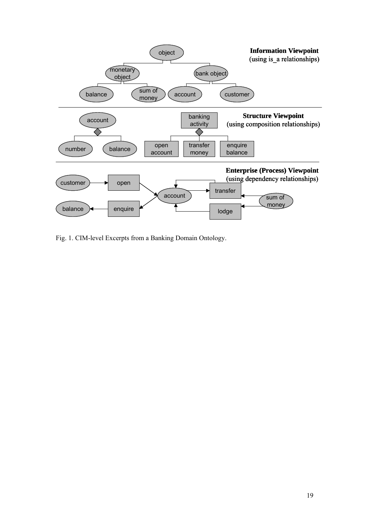

Fig. 1. CIM-level Excerpts from a Banking Domain Ontology.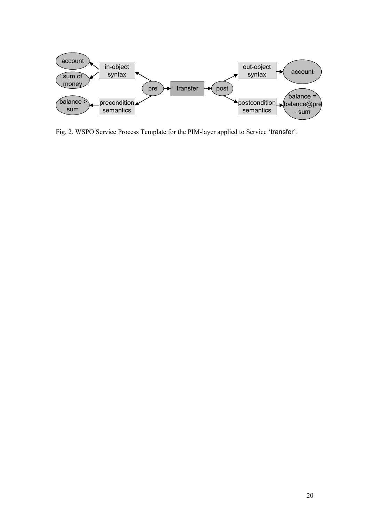

Fig. 2. WSPO Service Process Template for the PIM-layer applied to Service 'transfer'.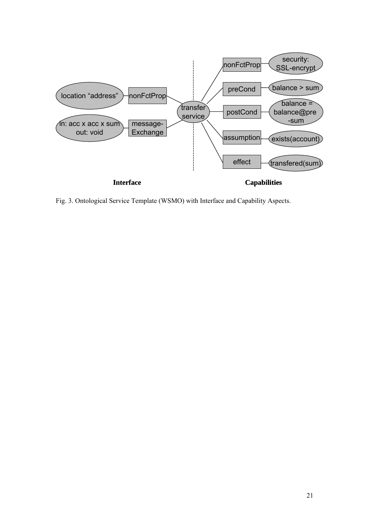

Fig. 3. Ontological Service Template (WSMO) with Interface and Capability Aspects.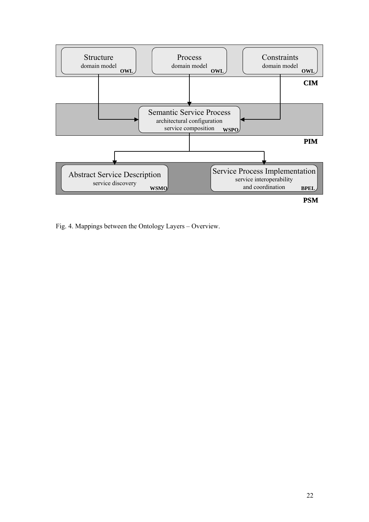

Fig. 4. Mappings between the Ontology Layers – Overview.